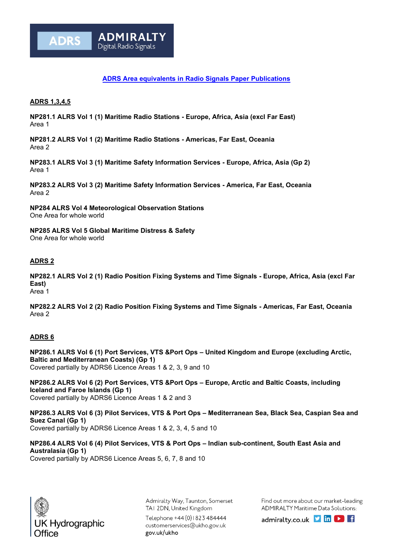

## **ADRS 1,3,4,5**

**ADRS** 

**NP281.1 ALRS Vol 1 (1) Maritime Radio Stations - Europe, Africa, Asia (excl Far East)** Area 1

**NP281.2 ALRS Vol 1 (2) Maritime Radio Stations - Americas, Far East, Oceania** Area 2

**NP283.1 ALRS Vol 3 (1) Maritime Safety Information Services - Europe, Africa, Asia (Gp 2)** Area 1

**NP283.2 ALRS Vol 3 (2) Maritime Safety Information Services - America, Far East, Oceania** Area 2

**NP284 ALRS Vol 4 Meteorological Observation Stations** One Area for whole world

**ADMIRALT** 

Digital Radio Signals

**NP285 ALRS Vol 5 Global Maritime Distress & Safety** One Area for whole world

## **ADRS 2**

**NP282.1 ALRS Vol 2 (1) Radio Position Fixing Systems and Time Signals - Europe, Africa, Asia (excl Far East)** Area 1

**NP282.2 ALRS Vol 2 (2) Radio Position Fixing Systems and Time Signals - Americas, Far East, Oceania** Area 2

## **ADRS 6**

**NP286.1 ALRS Vol 6 (1) Port Services, VTS &Port Ops – United Kingdom and Europe (excluding Arctic, Baltic and Mediterranean Coasts) (Gp 1)** Covered partially by ADRS6 Licence Areas 1 & 2, 3, 9 and 10

**NP286.2 ALRS Vol 6 (2) Port Services, VTS &Port Ops – Europe, Arctic and Baltic Coasts, including Iceland and Faroe Islands (Gp 1)** Covered partially by ADRS6 Licence Areas 1 & 2 and 3

**NP286.3 ALRS Vol 6 (3) Pilot Services, VTS & Port Ops – Mediterranean Sea, Black Sea, Caspian Sea and Suez Canal (Gp 1)** Covered partially by ADRS6 Licence Areas 1 & 2, 3, 4, 5 and 10

**NP286.4 ALRS Vol 6 (4) Pilot Services, VTS & Port Ops – Indian sub-continent, South East Asia and Australasia (Gp 1)** Covered partially by ADRS6 Licence Areas 5, 6, 7, 8 and 10



Admiralty Way, Taunton, Somerset TAI 2DN, United Kingdom

Telephone +44 (0) 1823 484444 customerservices@ukho.gov.uk gov.uk/ukho

Find out more about our market-leading ADMIRALTY Maritime Data Solutions:

admiralty.co.uk link